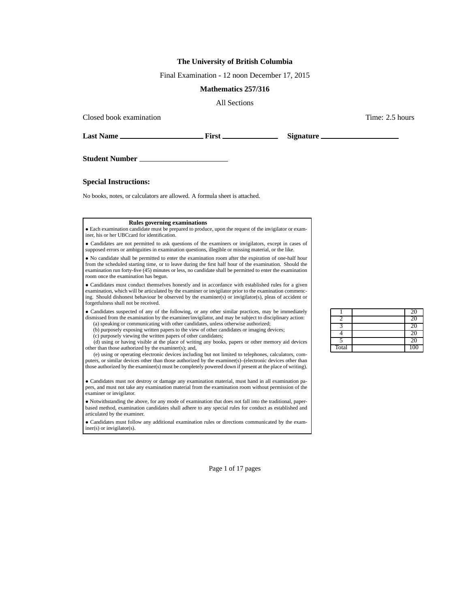## **The University of British Columbia**

Final Examination - 12 noon December 17, 2015

## **Mathematics 257/316**

All Sections

Closed book examination  $\blacksquare$  2.5 hours  $\blacksquare$  Time: 2.5 hours  $\blacksquare$ 

**Last Name First Signature**

**Student Number**

**Special Instructions:**

No books, notes, or calculators are allowed. A formula sheet is attached.

## **Rules governing examinations**

• Each examination candidate must be prepared to produce, upon the request of the invigilator or examiner, his or her UBCcard for identification.

• Candidates are not permitted to ask questions of the examiners or invigilators, except in cases of supposed errors or ambiguities in examination questions, illegible or missing material, or the like.

• No candidate shall be permitted to enter the examination room after the expiration of one-half hour from the scheduled starting time, or to leave during the first half hour of the examination. Should the examination run forty-five (45) minutes or less, no candidate shall be permitted to enter the examination room once the examination has begun.

• Candidates must conduct themselves honestly and in accordance with established rules for a given examination, which will be articulated by the examiner or invigilator prior to the examination commencing. Should dishonest behaviour be observed by the examiner(s) or invigilator(s), pleas of accident or forgetfulness shall not be received.

• Candidates suspected of any of the following, or any other similar practices, may be immediately dismissed from the examination by the examiner/invigilator, and may be subject to disciplinary action: (a) speaking or communicating with other candidates, unless otherwise authorized;

(b) purposely exposing written papers to the view of other candidates or imaging devices;

(c) purposely viewing the written papers of other candidates;

(d) using or having visible at the place of writing any books, papers or other memory aid devices other than those authorized by the examiner(s); and,

(e) using or operating electronic devices including but not limited to telephones, calculators, computers, or similar devices other than those authorized by the examiner(s)–(electronic devices other than those authorized by the examiner(s) must be completely powered down if present at the place of writing).

• Candidates must not destroy or damage any examination material, must hand in all examination papers, and must not take any examination material from the examination room without permission of the examiner or invigilator.

• Notwithstanding the above, for any mode of examination that does not fall into the traditional, paperbased method, examination candidates shall adhere to any special rules for conduct as established and articulated by the examiner.

• Candidates must follow any additional examination rules or directions communicated by the examiner(s) or invigilator(s).

|       | <b>20</b> |
|-------|-----------|
|       |           |
|       |           |
|       | 20        |
|       | 20        |
| Total | 100       |

Page 1 of 17 pages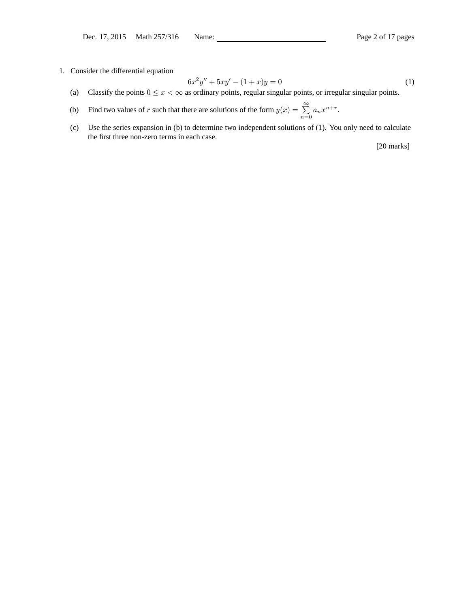1. Consider the differential equation

$$
6x^2y'' + 5xy' - (1+x)y = 0
$$
 (1)

- (a) Classify the points  $0 \le x < \infty$  as ordinary points, regular singular points, or irregular singular points.
- (b) Find two values of r such that there are solutions of the form  $y(x) = \sum_{r=1}^{\infty}$  $\sum_{n=0} a_n x^{n+r}.$
- (c) Use the series expansion in (b) to determine two independent solutions of (1). You only need to calculate the first three non-zero terms in each case.

[20 marks]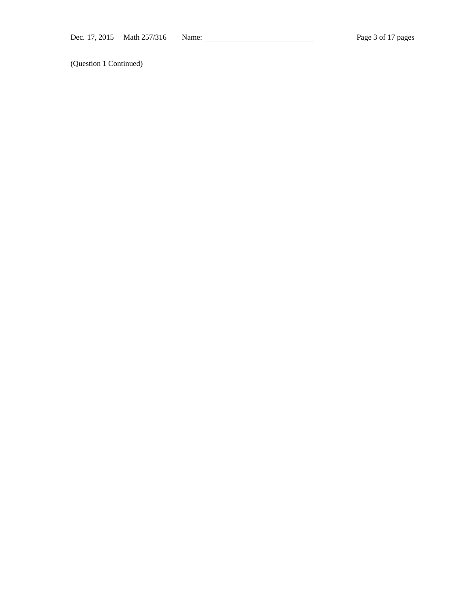(Question 1 Continued)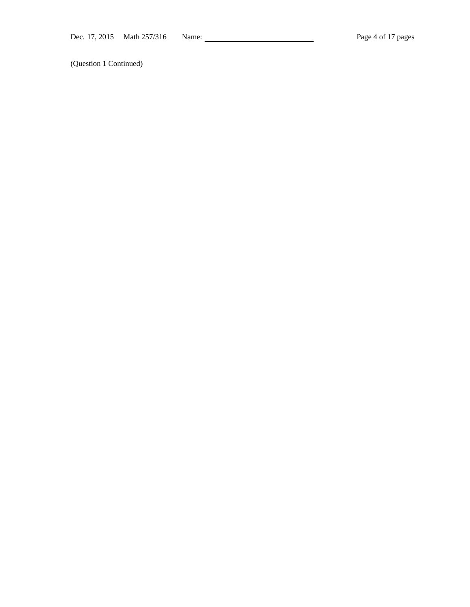(Question 1 Continued)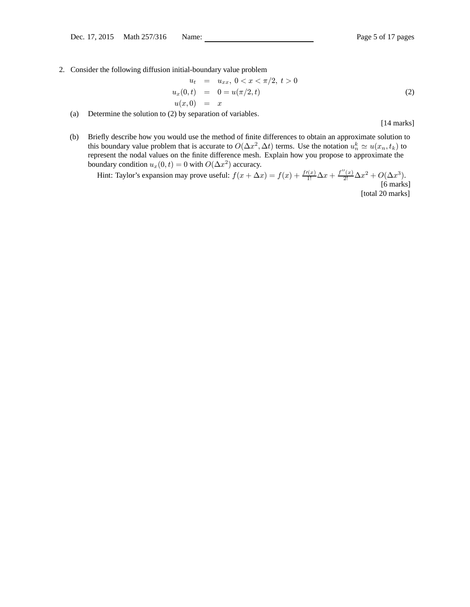2. Consider the following diffusion initial-boundary value problem

$$
u_t = u_{xx}, \ 0 < x < \pi/2, \ t > 0
$$
\n
$$
u_x(0, t) = 0 = u(\pi/2, t)
$$
\n
$$
u(x, 0) = x \tag{2}
$$

(a) Determine the solution to (2) by separation of variables.

[14 marks]

(b) Briefly describe how you would use the method of finite differences to obtain an approximate solution to this boundary value problem that is accurate to  $O(\Delta x^2, \Delta t)$  terms. Use the notation  $u_n^k \simeq u(x_n, t_k)$  to represent the nodal values on the finite difference mesh. Explain how you propose to approximate the boundary condition  $u_x(0, t) = 0$  with  $O(\Delta x^2)$  accuracy.

Hint: Taylor's expansion may prove useful:  $f(x + \Delta x) = f(x) + \frac{f'(x)}{1!} \Delta x + \frac{f''(x)}{2!} \Delta x^2 + O(\Delta x^3)$ . [6 marks] [total 20 marks]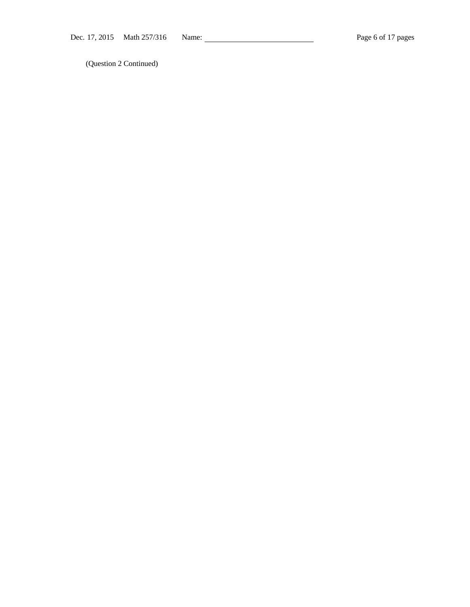(Question 2 Continued)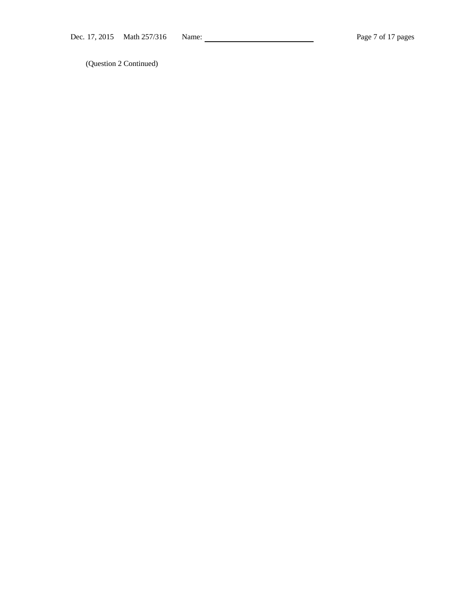(Question 2 Continued)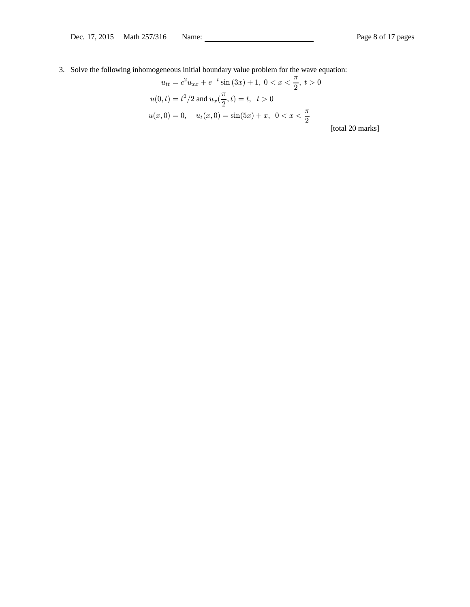3. Solve the following inhomogeneous initial boundary value problem for the wave equation:

$$
u_{tt} = c^2 u_{xx} + e^{-t} \sin(3x) + 1, \ 0 < x < \frac{\pi}{2}, \ t > 0
$$
\n
$$
u(0, t) = t^2 / 2 \text{ and } u_x(\frac{\pi}{2}, t) = t, \ t > 0
$$
\n
$$
u(x, 0) = 0, \quad u_t(x, 0) = \sin(5x) + x, \ 0 < x < \frac{\pi}{2}
$$

[total 20 marks]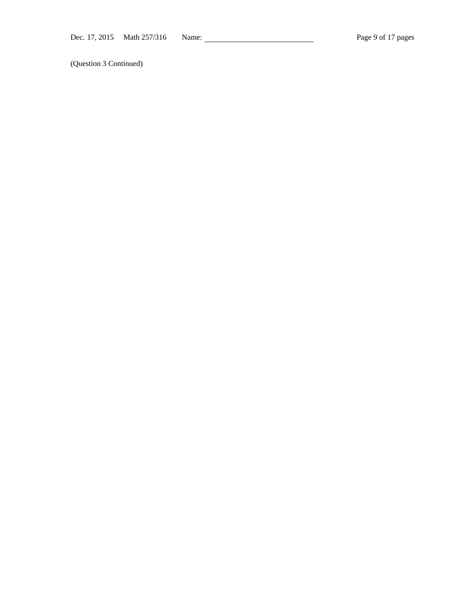(Question 3 Continued)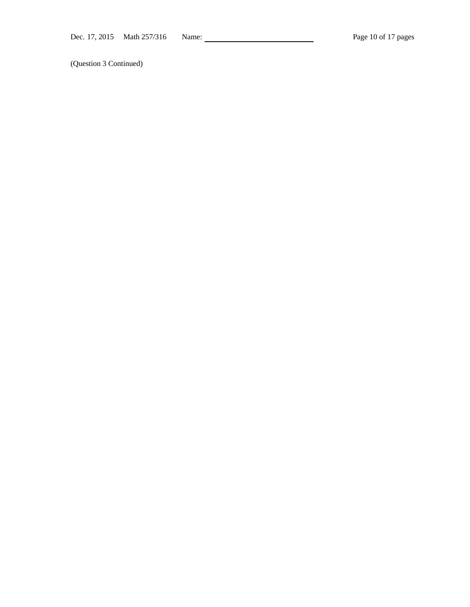(Question 3 Continued)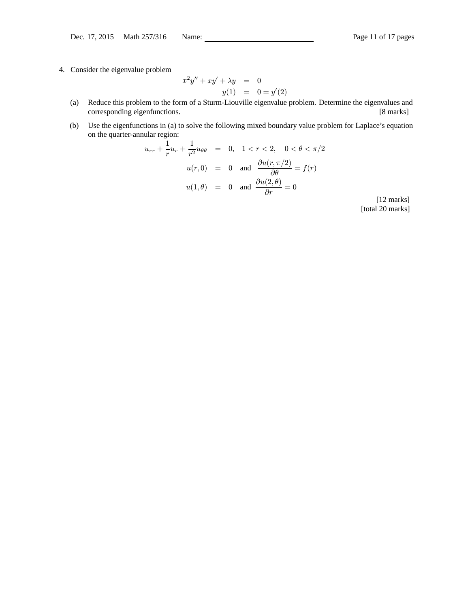4. Consider the eigenvalue problem

$$
x^{2}y'' + xy' + \lambda y = 0
$$
  

$$
y(1) = 0 = y'(2)
$$

- (a) Reduce this problem to the form of a Sturm-Liouville eigenvalue problem. Determine the eigenvalues and corresponding eigenfunctions. [8 marks]
- (b) Use the eigenfunctions in (a) to solve the following mixed boundary value problem for Laplace's equation on the quarter-annular region:

$$
u_{rr} + \frac{1}{r}u_r + \frac{1}{r^2}u_{\theta\theta} = 0, \quad 1 < r < 2, \quad 0 < \theta < \pi/2
$$
\n
$$
u(r,0) = 0 \quad \text{and} \quad \frac{\partial u(r,\pi/2)}{\partial \theta} = f(r)
$$
\n
$$
u(1,\theta) = 0 \quad \text{and} \quad \frac{\partial u(2,\theta)}{\partial r} = 0
$$

[12 marks] [total 20 marks]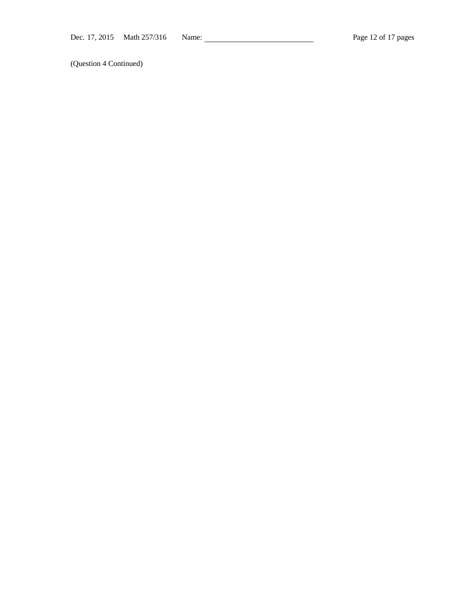(Question 4 Continued)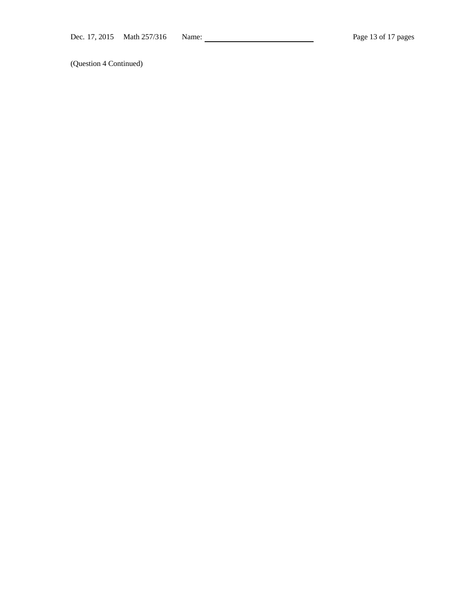(Question 4 Continued)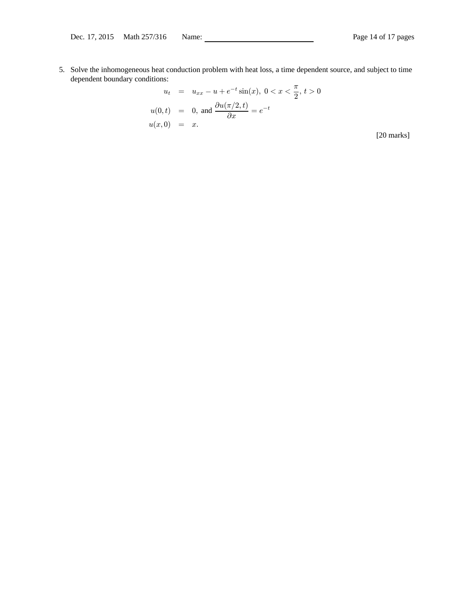5. Solve the inhomogeneous heat conduction problem with heat loss, a time dependent source, and subject to time dependent boundary conditions:

$$
u_t = u_{xx} - u + e^{-t} \sin(x), \ 0 < x < \frac{\pi}{2}, \ t > 0
$$
\n
$$
u(0, t) = 0, \text{ and } \frac{\partial u(\pi/2, t)}{\partial x} = e^{-t}
$$
\n
$$
u(x, 0) = x.
$$

[20 marks]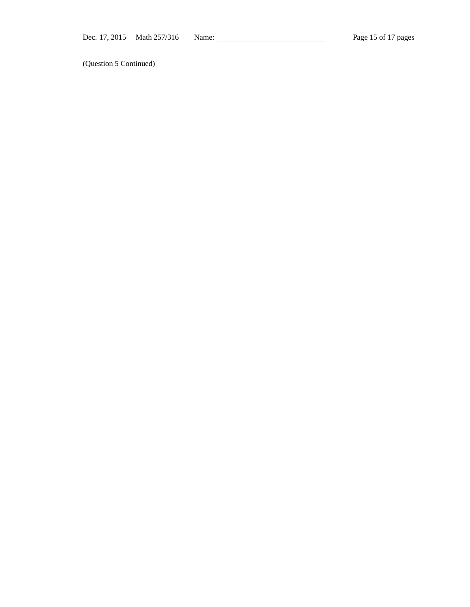(Question 5 Continued)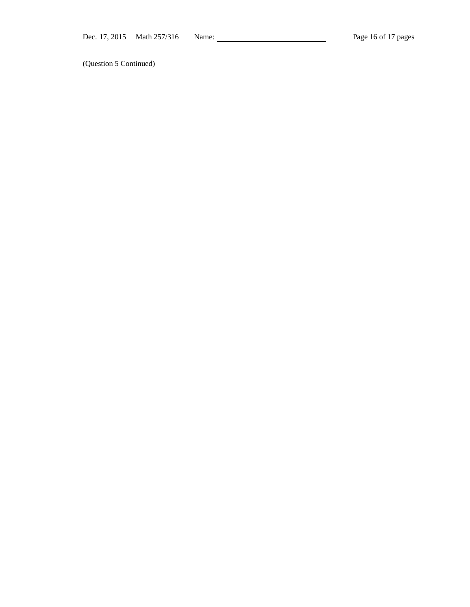(Question 5 Continued)